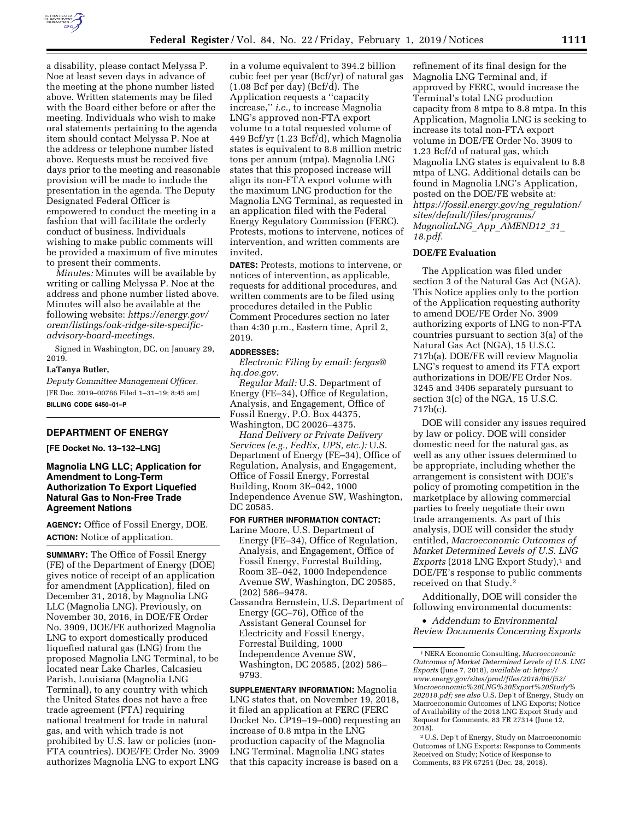

a disability, please contact Melyssa P. Noe at least seven days in advance of the meeting at the phone number listed above. Written statements may be filed with the Board either before or after the meeting. Individuals who wish to make oral statements pertaining to the agenda item should contact Melyssa P. Noe at the address or telephone number listed above. Requests must be received five days prior to the meeting and reasonable provision will be made to include the presentation in the agenda. The Deputy Designated Federal Officer is empowered to conduct the meeting in a fashion that will facilitate the orderly conduct of business. Individuals wishing to make public comments will be provided a maximum of five minutes to present their comments.

*Minutes:* Minutes will be available by writing or calling Melyssa P. Noe at the address and phone number listed above. Minutes will also be available at the following website: *[https://energy.gov/](https://energy.gov/orem/listings/oak-ridge-site-specific-advisory-board-meetings) [orem/listings/oak-ridge-site-specific](https://energy.gov/orem/listings/oak-ridge-site-specific-advisory-board-meetings)[advisory-board-meetings.](https://energy.gov/orem/listings/oak-ridge-site-specific-advisory-board-meetings)* 

Signed in Washington, DC, on January 29, 2019.

#### **LaTanya Butler,**

*Deputy Committee Management Officer.*  [FR Doc. 2019–00766 Filed 1–31–19; 8:45 am] **BILLING CODE 6450–01–P** 

#### **DEPARTMENT OF ENERGY**

**[FE Docket No. 13–132–LNG]** 

# **Magnolia LNG LLC; Application for Amendment to Long-Term Authorization To Export Liquefied Natural Gas to Non-Free Trade Agreement Nations**

**AGENCY:** Office of Fossil Energy, DOE. **ACTION:** Notice of application.

**SUMMARY:** The Office of Fossil Energy (FE) of the Department of Energy (DOE) gives notice of receipt of an application for amendment (Application), filed on December 31, 2018, by Magnolia LNG LLC (Magnolia LNG). Previously, on November 30, 2016, in DOE/FE Order No. 3909, DOE/FE authorized Magnolia LNG to export domestically produced liquefied natural gas (LNG) from the proposed Magnolia LNG Terminal, to be located near Lake Charles, Calcasieu Parish, Louisiana (Magnolia LNG Terminal), to any country with which the United States does not have a free trade agreement (FTA) requiring national treatment for trade in natural gas, and with which trade is not prohibited by U.S. law or policies (non-FTA countries). DOE/FE Order No. 3909 authorizes Magnolia LNG to export LNG

in a volume equivalent to 394.2 billion cubic feet per year (Bcf/yr) of natural gas (1.08 Bcf per day) (Bcf/d). The Application requests a ''capacity increase,'' *i.e.,* to increase Magnolia LNG's approved non-FTA export volume to a total requested volume of 449 Bcf/yr (1.23 Bcf/d), which Magnolia states is equivalent to 8.8 million metric tons per annum (mtpa). Magnolia LNG states that this proposed increase will align its non-FTA export volume with the maximum LNG production for the Magnolia LNG Terminal, as requested in an application filed with the Federal Energy Regulatory Commission (FERC). Protests, motions to intervene, notices of intervention, and written comments are invited.

**DATES:** Protests, motions to intervene, or notices of intervention, as applicable, requests for additional procedures, and written comments are to be filed using procedures detailed in the Public Comment Procedures section no later than 4:30 p.m., Eastern time, April 2, 2019.

#### **ADDRESSES:**

*Electronic Filing by email: [fergas@](mailto:fergas@hq.doe.gov) [hq.doe.gov.](mailto:fergas@hq.doe.gov)* 

*Regular Mail:* U.S. Department of Energy (FE–34), Office of Regulation, Analysis, and Engagement, Office of Fossil Energy, P.O. Box 44375, Washington, DC 20026–4375.

*Hand Delivery or Private Delivery Services (e.g., FedEx, UPS, etc.):* U.S. Department of Energy (FE–34), Office of Regulation, Analysis, and Engagement, Office of Fossil Energy, Forrestal Building, Room 3E–042, 1000 Independence Avenue SW, Washington, DC 20585.

# **FOR FURTHER INFORMATION CONTACT:**

- Larine Moore, U.S. Department of Energy (FE–34), Office of Regulation, Analysis, and Engagement, Office of Fossil Energy, Forrestal Building, Room 3E–042, 1000 Independence Avenue SW, Washington, DC 20585, (202) 586–9478.
- Cassandra Bernstein, U.S. Department of Energy (GC–76), Office of the Assistant General Counsel for Electricity and Fossil Energy, Forrestal Building, 1000 Independence Avenue SW, Washington, DC 20585, (202) 586– 9793.

**SUPPLEMENTARY INFORMATION:** Magnolia LNG states that, on November 19, 2018, it filed an application at FERC (FERC Docket No. CP19–19–000) requesting an increase of 0.8 mtpa in the LNG production capacity of the Magnolia LNG Terminal. Magnolia LNG states that this capacity increase is based on a

refinement of its final design for the Magnolia LNG Terminal and, if approved by FERC, would increase the Terminal's total LNG production capacity from 8 mtpa to 8.8 mtpa. In this Application, Magnolia LNG is seeking to increase its total non-FTA export volume in DOE/FE Order No. 3909 to 1.23 Bcf/d of natural gas, which Magnolia LNG states is equivalent to 8.8 mtpa of LNG. Additional details can be found in Magnolia LNG's Application, posted on the DOE/FE website at: *[https://fossil.energy.gov/ng](https://fossil.energy.gov/ng_regulation/sites/default/files/programs/MagnoliaLNG_App_AMEND12_31_18.pdf)*\_*regulation/ [sites/default/files/programs/](https://fossil.energy.gov/ng_regulation/sites/default/files/programs/MagnoliaLNG_App_AMEND12_31_18.pdf)  [MagnoliaLNG](https://fossil.energy.gov/ng_regulation/sites/default/files/programs/MagnoliaLNG_App_AMEND12_31_18.pdf)*\_*App*\_*AMEND12*\_*31*\_ *[18.pdf.](https://fossil.energy.gov/ng_regulation/sites/default/files/programs/MagnoliaLNG_App_AMEND12_31_18.pdf)* 

### **DOE/FE Evaluation**

The Application was filed under section 3 of the Natural Gas Act (NGA). This Notice applies only to the portion of the Application requesting authority to amend DOE/FE Order No. 3909 authorizing exports of LNG to non-FTA countries pursuant to section 3(a) of the Natural Gas Act (NGA), 15 U.S.C. 717b(a). DOE/FE will review Magnolia LNG's request to amend its FTA export authorizations in DOE/FE Order Nos. 3245 and 3406 separately pursuant to section 3(c) of the NGA, 15 U.S.C. 717b(c).

DOE will consider any issues required by law or policy. DOE will consider domestic need for the natural gas, as well as any other issues determined to be appropriate, including whether the arrangement is consistent with DOE's policy of promoting competition in the marketplace by allowing commercial parties to freely negotiate their own trade arrangements. As part of this analysis, DOE will consider the study entitled, *Macroeconomic Outcomes of Market Determined Levels of U.S. LNG Exports* (2018 LNG Export Study),<sup>1</sup> and DOE/FE's response to public comments received on that Study.2

Additionally, DOE will consider the following environmental documents:

• *Addendum to Environmental Review Documents Concerning Exports* 

2U.S. Dep't of Energy, Study on Macroeconomic Outcomes of LNG Exports: Response to Comments Received on Study; Notice of Response to Comments, 83 FR 67251 (Dec. 28, 2018).

<sup>1</sup>NERA Economic Consulting, *Macroeconomic Outcomes of Market Determined Levels of U.S. LNG Exports* (June 7, 2018), *available at: [https://](https://www.energy.gov/sites/prod/files/2018/06/f52/Macroeconomic%20LNG%20Export%20Study%202018.pdf) [www.energy.gov/sites/prod/files/2018/06/f52/](https://www.energy.gov/sites/prod/files/2018/06/f52/Macroeconomic%20LNG%20Export%20Study%202018.pdf) [Macroeconomic%20LNG%20Export%20Study%](https://www.energy.gov/sites/prod/files/2018/06/f52/Macroeconomic%20LNG%20Export%20Study%202018.pdf) [202018.pdf;](https://www.energy.gov/sites/prod/files/2018/06/f52/Macroeconomic%20LNG%20Export%20Study%202018.pdf) see also* U.S. Dep't of Energy, Study on Macroeconomic Outcomes of LNG Exports; Notice of Availability of the 2018 LNG Export Study and Request for Comments, 83 FR 27314 (June 12, 2018).